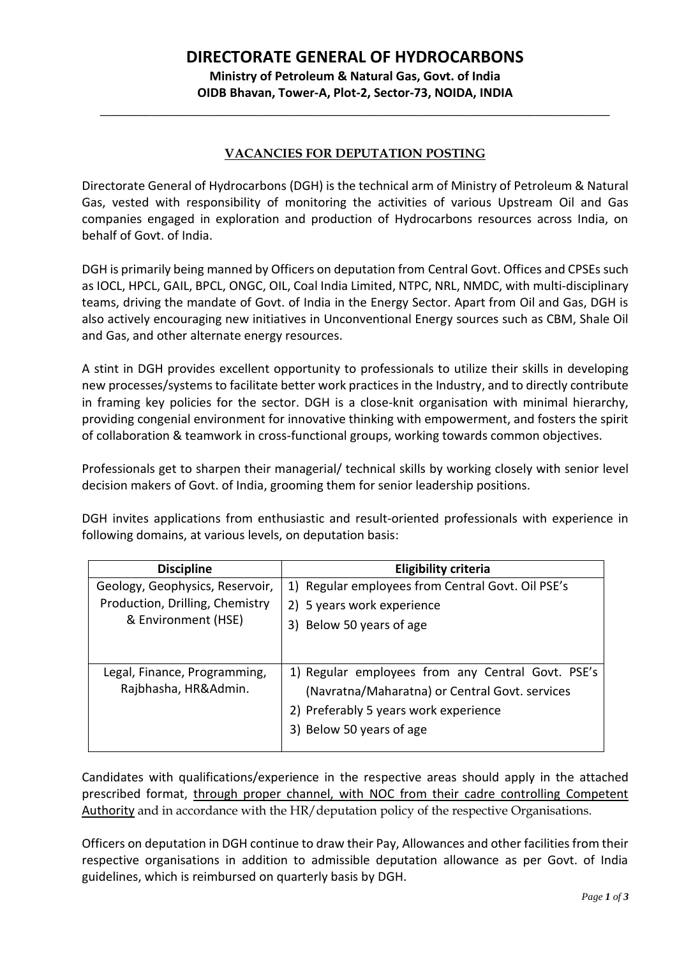# **DIRECTORATE GENERAL OF HYDROCARBONS**

**Ministry of Petroleum & Natural Gas, Govt. of India OIDB Bhavan, Tower-A, Plot-2, Sector-73, NOIDA, INDIA**

\_\_\_\_\_\_\_\_\_\_\_\_\_\_\_\_\_\_\_\_\_\_\_\_\_\_\_\_\_\_\_\_\_\_\_\_\_\_\_\_\_\_\_\_\_\_\_\_\_\_\_\_\_\_\_\_\_\_\_\_\_\_\_\_\_\_\_\_\_

### **VACANCIES FOR DEPUTATION POSTING**

Directorate General of Hydrocarbons (DGH) is the technical arm of Ministry of Petroleum & Natural Gas, vested with responsibility of monitoring the activities of various Upstream Oil and Gas companies engaged in exploration and production of Hydrocarbons resources across India, on behalf of Govt. of India.

DGH is primarily being manned by Officers on deputation from Central Govt. Offices and CPSEs such as IOCL, HPCL, GAIL, BPCL, ONGC, OIL, Coal India Limited, NTPC, NRL, NMDC, with multi-disciplinary teams, driving the mandate of Govt. of India in the Energy Sector. Apart from Oil and Gas, DGH is also actively encouraging new initiatives in Unconventional Energy sources such as CBM, Shale Oil and Gas, and other alternate energy resources.

A stint in DGH provides excellent opportunity to professionals to utilize their skills in developing new processes/systems to facilitate better work practices in the Industry, and to directly contribute in framing key policies for the sector. DGH is a close-knit organisation with minimal hierarchy, providing congenial environment for innovative thinking with empowerment, and fosters the spirit of collaboration & teamwork in cross-functional groups, working towards common objectives.

Professionals get to sharpen their managerial/ technical skills by working closely with senior level decision makers of Govt. of India, grooming them for senior leadership positions.

DGH invites applications from enthusiastic and result-oriented professionals with experience in following domains, at various levels, on deputation basis:

| <b>Discipline</b>               | Eligibility criteria                              |
|---------------------------------|---------------------------------------------------|
| Geology, Geophysics, Reservoir, | 1) Regular employees from Central Govt. Oil PSE's |
| Production, Drilling, Chemistry | 2) 5 years work experience                        |
| & Environment (HSE)             | 3) Below 50 years of age                          |
|                                 |                                                   |
| Legal, Finance, Programming,    | 1) Regular employees from any Central Govt. PSE's |
| Rajbhasha, HR&Admin.            | (Navratna/Maharatna) or Central Govt. services    |
|                                 | 2) Preferably 5 years work experience             |
|                                 | 3) Below 50 years of age                          |

Candidates with qualifications/experience in the respective areas should apply in the attached prescribed format, through proper channel, with NOC from their cadre controlling Competent Authority and in accordance with the HR/deputation policy of the respective Organisations.

Officers on deputation in DGH continue to draw their Pay, Allowances and other facilities from their respective organisations in addition to admissible deputation allowance as per Govt. of India guidelines, which is reimbursed on quarterly basis by DGH.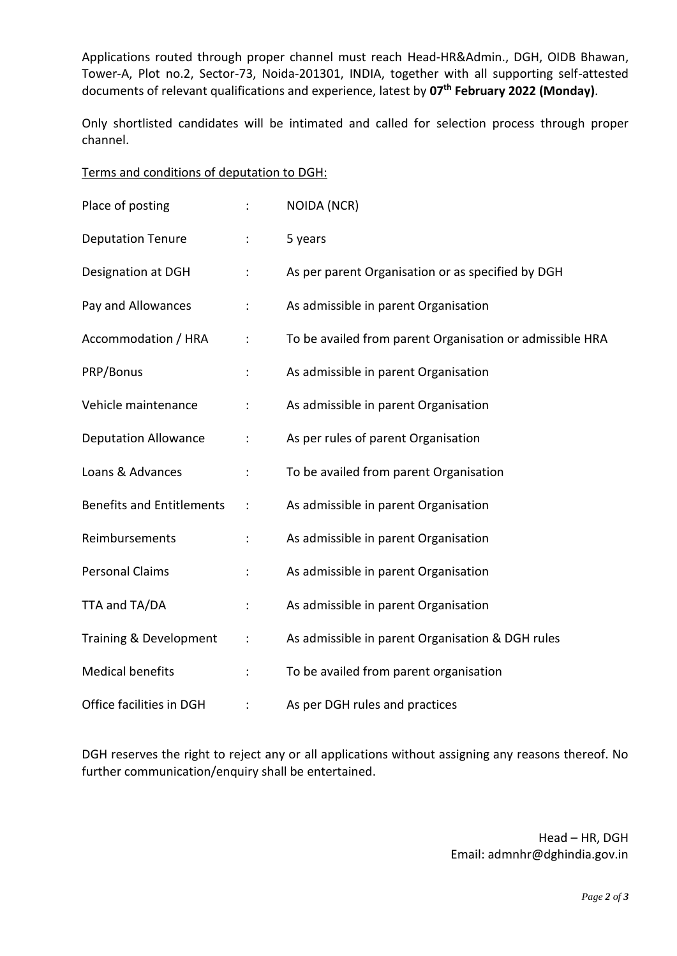Applications routed through proper channel must reach Head-HR&Admin., DGH, OIDB Bhawan, Tower-A, Plot no.2, Sector-73, Noida-201301, INDIA, together with all supporting self-attested documents of relevant qualifications and experience, latest by **07th February 2022 (Monday)**.

Only shortlisted candidates will be intimated and called for selection process through proper channel.

| Terms and conditions of deputation to DGH: |  |  |  |  |
|--------------------------------------------|--|--|--|--|
|--------------------------------------------|--|--|--|--|

| Place of posting                 |                      | <b>NOIDA (NCR)</b>                                       |
|----------------------------------|----------------------|----------------------------------------------------------|
| <b>Deputation Tenure</b>         | $\ddot{\cdot}$       | 5 years                                                  |
| Designation at DGH               | $\ddot{\phantom{a}}$ | As per parent Organisation or as specified by DGH        |
| Pay and Allowances               |                      | As admissible in parent Organisation                     |
| Accommodation / HRA              | $\ddot{\cdot}$       | To be availed from parent Organisation or admissible HRA |
| PRP/Bonus                        | $\ddot{\cdot}$       | As admissible in parent Organisation                     |
| Vehicle maintenance              |                      | As admissible in parent Organisation                     |
| <b>Deputation Allowance</b>      |                      | As per rules of parent Organisation                      |
| Loans & Advances                 | $\ddot{\cdot}$       | To be availed from parent Organisation                   |
| <b>Benefits and Entitlements</b> | $\ddot{\cdot}$       | As admissible in parent Organisation                     |
| Reimbursements                   | $\ddot{\phantom{a}}$ | As admissible in parent Organisation                     |
| <b>Personal Claims</b>           |                      | As admissible in parent Organisation                     |
| TTA and TA/DA                    |                      | As admissible in parent Organisation                     |
| Training & Development           | ÷                    | As admissible in parent Organisation & DGH rules         |
| <b>Medical benefits</b>          |                      | To be availed from parent organisation                   |
| Office facilities in DGH         |                      | As per DGH rules and practices                           |

DGH reserves the right to reject any or all applications without assigning any reasons thereof. No further communication/enquiry shall be entertained.

> Head – HR, DGH Email: admnhr@dghindia.gov.in